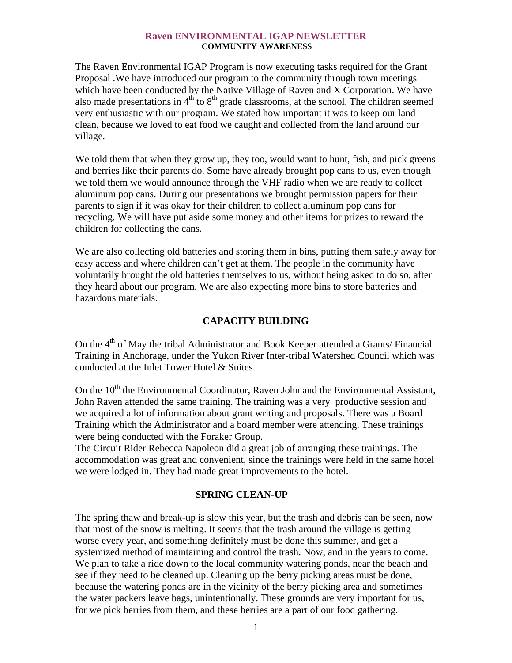#### **Raven ENVIRONMENTAL IGAP NEWSLETTER COMMUNITY AWARENESS**

The Raven Environmental IGAP Program is now executing tasks required for the Grant Proposal .We have introduced our program to the community through town meetings which have been conducted by the Native Village of Raven and X Corporation. We have also made presentations in  $4<sup>th</sup>$  to  $8<sup>th</sup>$  grade classrooms, at the school. The children seemed very enthusiastic with our program. We stated how important it was to keep our land clean, because we loved to eat food we caught and collected from the land around our village.

We told them that when they grow up, they too, would want to hunt, fish, and pick greens and berries like their parents do. Some have already brought pop cans to us, even though we told them we would announce through the VHF radio when we are ready to collect aluminum pop cans. During our presentations we brought permission papers for their parents to sign if it was okay for their children to collect aluminum pop cans for recycling. We will have put aside some money and other items for prizes to reward the children for collecting the cans.

We are also collecting old batteries and storing them in bins, putting them safely away for easy access and where children can't get at them. The people in the community have voluntarily brought the old batteries themselves to us, without being asked to do so, after they heard about our program. We are also expecting more bins to store batteries and hazardous materials.

# **CAPACITY BUILDING**

On the 4<sup>th</sup> of May the tribal Administrator and Book Keeper attended a Grants/ Financial Training in Anchorage, under the Yukon River Inter-tribal Watershed Council which was conducted at the Inlet Tower Hotel & Suites.

On the  $10<sup>th</sup>$  the Environmental Coordinator, Raven John and the Environmental Assistant, John Raven attended the same training. The training was a very productive session and we acquired a lot of information about grant writing and proposals. There was a Board Training which the Administrator and a board member were attending. These trainings were being conducted with the Foraker Group.

The Circuit Rider Rebecca Napoleon did a great job of arranging these trainings. The accommodation was great and convenient, since the trainings were held in the same hotel we were lodged in. They had made great improvements to the hotel.

# **SPRING CLEAN-UP**

The spring thaw and break-up is slow this year, but the trash and debris can be seen, now that most of the snow is melting. It seems that the trash around the village is getting worse every year, and something definitely must be done this summer, and get a systemized method of maintaining and control the trash. Now, and in the years to come. We plan to take a ride down to the local community watering ponds, near the beach and see if they need to be cleaned up. Cleaning up the berry picking areas must be done, because the watering ponds are in the vicinity of the berry picking area and sometimes the water packers leave bags, unintentionally. These grounds are very important for us, for we pick berries from them, and these berries are a part of our food gathering.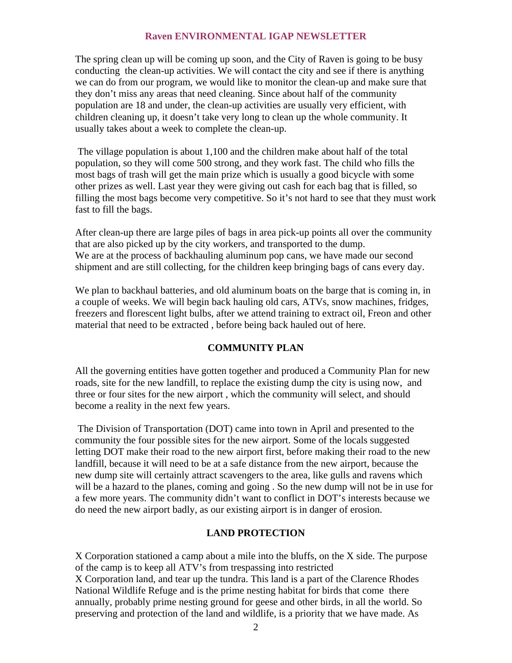The spring clean up will be coming up soon, and the City of Raven is going to be busy conducting the clean-up activities. We will contact the city and see if there is anything we can do from our program, we would like to monitor the clean-up and make sure that they don't miss any areas that need cleaning. Since about half of the community population are 18 and under, the clean-up activities are usually very efficient, with children cleaning up, it doesn't take very long to clean up the whole community. It usually takes about a week to complete the clean-up.

 The village population is about 1,100 and the children make about half of the total population, so they will come 500 strong, and they work fast. The child who fills the most bags of trash will get the main prize which is usually a good bicycle with some other prizes as well. Last year they were giving out cash for each bag that is filled, so filling the most bags become very competitive. So it's not hard to see that they must work fast to fill the bags.

After clean-up there are large piles of bags in area pick-up points all over the community that are also picked up by the city workers, and transported to the dump. We are at the process of backhauling aluminum pop cans, we have made our second shipment and are still collecting, for the children keep bringing bags of cans every day.

We plan to backhaul batteries, and old aluminum boats on the barge that is coming in, in a couple of weeks. We will begin back hauling old cars, ATVs, snow machines, fridges, freezers and florescent light bulbs, after we attend training to extract oil, Freon and other material that need to be extracted , before being back hauled out of here.

# **COMMUNITY PLAN**

All the governing entities have gotten together and produced a Community Plan for new roads, site for the new landfill, to replace the existing dump the city is using now, and three or four sites for the new airport , which the community will select, and should become a reality in the next few years.

 The Division of Transportation (DOT) came into town in April and presented to the community the four possible sites for the new airport. Some of the locals suggested letting DOT make their road to the new airport first, before making their road to the new landfill, because it will need to be at a safe distance from the new airport, because the new dump site will certainly attract scavengers to the area, like gulls and ravens which will be a hazard to the planes, coming and going. So the new dump will not be in use for a few more years. The community didn't want to conflict in DOT's interests because we do need the new airport badly, as our existing airport is in danger of erosion.

# **LAND PROTECTION**

X Corporation stationed a camp about a mile into the bluffs, on the X side. The purpose of the camp is to keep all ATV's from trespassing into restricted X Corporation land, and tear up the tundra. This land is a part of the Clarence Rhodes National Wildlife Refuge and is the prime nesting habitat for birds that come there annually, probably prime nesting ground for geese and other birds, in all the world. So preserving and protection of the land and wildlife, is a priority that we have made. As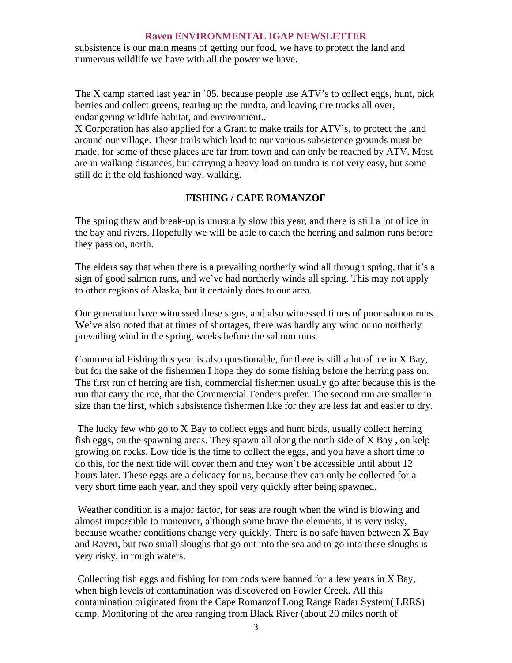subsistence is our main means of getting our food, we have to protect the land and numerous wildlife we have with all the power we have.

The X camp started last year in '05, because people use ATV's to collect eggs, hunt, pick berries and collect greens, tearing up the tundra, and leaving tire tracks all over, endangering wildlife habitat, and environment..

X Corporation has also applied for a Grant to make trails for ATV's, to protect the land around our village. These trails which lead to our various subsistence grounds must be made, for some of these places are far from town and can only be reached by ATV. Most are in walking distances, but carrying a heavy load on tundra is not very easy, but some still do it the old fashioned way, walking.

# **FISHING / CAPE ROMANZOF**

The spring thaw and break-up is unusually slow this year, and there is still a lot of ice in the bay and rivers. Hopefully we will be able to catch the herring and salmon runs before they pass on, north.

The elders say that when there is a prevailing northerly wind all through spring, that it's a sign of good salmon runs, and we've had northerly winds all spring. This may not apply to other regions of Alaska, but it certainly does to our area.

Our generation have witnessed these signs, and also witnessed times of poor salmon runs. We've also noted that at times of shortages, there was hardly any wind or no northerly prevailing wind in the spring, weeks before the salmon runs.

Commercial Fishing this year is also questionable, for there is still a lot of ice in X Bay, but for the sake of the fishermen I hope they do some fishing before the herring pass on. The first run of herring are fish, commercial fishermen usually go after because this is the run that carry the roe, that the Commercial Tenders prefer. The second run are smaller in size than the first, which subsistence fishermen like for they are less fat and easier to dry.

 The lucky few who go to X Bay to collect eggs and hunt birds, usually collect herring fish eggs, on the spawning areas. They spawn all along the north side of X Bay , on kelp growing on rocks. Low tide is the time to collect the eggs, and you have a short time to do this, for the next tide will cover them and they won't be accessible until about 12 hours later. These eggs are a delicacy for us, because they can only be collected for a very short time each year, and they spoil very quickly after being spawned.

 Weather condition is a major factor, for seas are rough when the wind is blowing and almost impossible to maneuver, although some brave the elements, it is very risky, because weather conditions change very quickly. There is no safe haven between X Bay and Raven, but two small sloughs that go out into the sea and to go into these sloughs is very risky, in rough waters.

 Collecting fish eggs and fishing for tom cods were banned for a few years in X Bay, when high levels of contamination was discovered on Fowler Creek. All this contamination originated from the Cape Romanzof Long Range Radar System( LRRS) camp. Monitoring of the area ranging from Black River (about 20 miles north of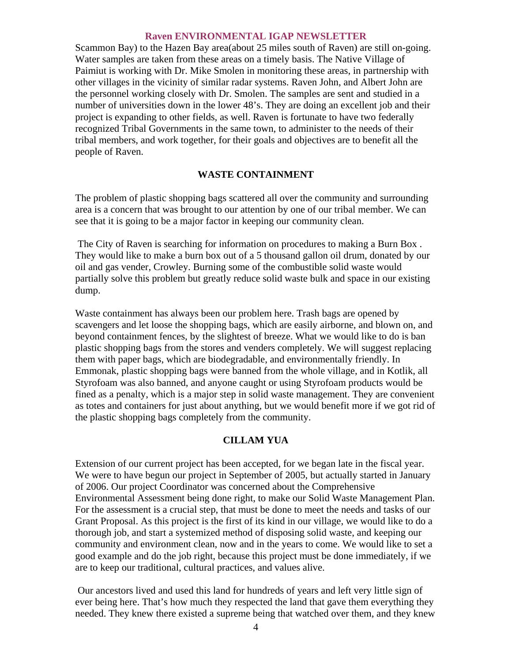Scammon Bay) to the Hazen Bay area(about 25 miles south of Raven) are still on-going. Water samples are taken from these areas on a timely basis. The Native Village of Paimiut is working with Dr. Mike Smolen in monitoring these areas, in partnership with other villages in the vicinity of similar radar systems. Raven John, and Albert John are the personnel working closely with Dr. Smolen. The samples are sent and studied in a number of universities down in the lower 48's. They are doing an excellent job and their project is expanding to other fields, as well. Raven is fortunate to have two federally recognized Tribal Governments in the same town, to administer to the needs of their tribal members, and work together, for their goals and objectives are to benefit all the people of Raven.

# **WASTE CONTAINMENT**

The problem of plastic shopping bags scattered all over the community and surrounding area is a concern that was brought to our attention by one of our tribal member. We can see that it is going to be a major factor in keeping our community clean.

 The City of Raven is searching for information on procedures to making a Burn Box . They would like to make a burn box out of a 5 thousand gallon oil drum, donated by our oil and gas vender, Crowley. Burning some of the combustible solid waste would partially solve this problem but greatly reduce solid waste bulk and space in our existing dump.

Waste containment has always been our problem here. Trash bags are opened by scavengers and let loose the shopping bags, which are easily airborne, and blown on, and beyond containment fences, by the slightest of breeze. What we would like to do is ban plastic shopping bags from the stores and venders completely. We will suggest replacing them with paper bags, which are biodegradable, and environmentally friendly. In Emmonak, plastic shopping bags were banned from the whole village, and in Kotlik, all Styrofoam was also banned, and anyone caught or using Styrofoam products would be fined as a penalty, which is a major step in solid waste management. They are convenient as totes and containers for just about anything, but we would benefit more if we got rid of the plastic shopping bags completely from the community.

# **CILLAM YUA**

Extension of our current project has been accepted, for we began late in the fiscal year. We were to have begun our project in September of 2005, but actually started in January of 2006. Our project Coordinator was concerned about the Comprehensive Environmental Assessment being done right, to make our Solid Waste Management Plan. For the assessment is a crucial step, that must be done to meet the needs and tasks of our Grant Proposal. As this project is the first of its kind in our village, we would like to do a thorough job, and start a systemized method of disposing solid waste, and keeping our community and environment clean, now and in the years to come. We would like to set a good example and do the job right, because this project must be done immediately, if we are to keep our traditional, cultural practices, and values alive.

 Our ancestors lived and used this land for hundreds of years and left very little sign of ever being here. That's how much they respected the land that gave them everything they needed. They knew there existed a supreme being that watched over them, and they knew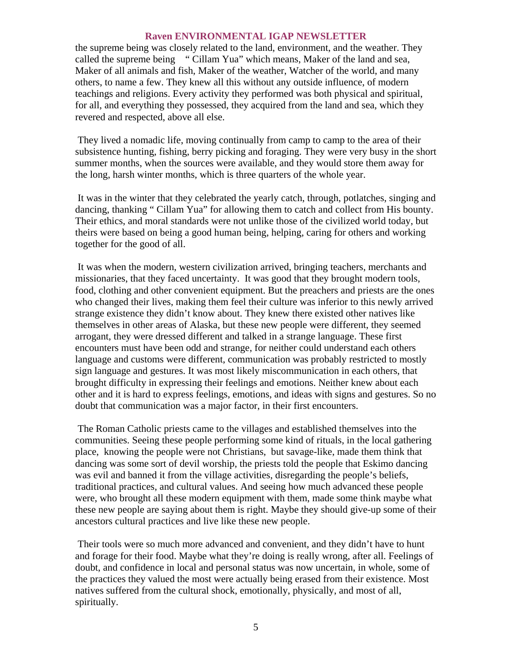the supreme being was closely related to the land, environment, and the weather. They called the supreme being " Cillam Yua" which means, Maker of the land and sea, Maker of all animals and fish, Maker of the weather, Watcher of the world, and many others, to name a few. They knew all this without any outside influence, of modern teachings and religions. Every activity they performed was both physical and spiritual, for all, and everything they possessed, they acquired from the land and sea, which they revered and respected, above all else.

 They lived a nomadic life, moving continually from camp to camp to the area of their subsistence hunting, fishing, berry picking and foraging. They were very busy in the short summer months, when the sources were available, and they would store them away for the long, harsh winter months, which is three quarters of the whole year.

 It was in the winter that they celebrated the yearly catch, through, potlatches, singing and dancing, thanking " Cillam Yua" for allowing them to catch and collect from His bounty. Their ethics, and moral standards were not unlike those of the civilized world today, but theirs were based on being a good human being, helping, caring for others and working together for the good of all.

 It was when the modern, western civilization arrived, bringing teachers, merchants and missionaries, that they faced uncertainty. It was good that they brought modern tools, food, clothing and other convenient equipment. But the preachers and priests are the ones who changed their lives, making them feel their culture was inferior to this newly arrived strange existence they didn't know about. They knew there existed other natives like themselves in other areas of Alaska, but these new people were different, they seemed arrogant, they were dressed different and talked in a strange language. These first encounters must have been odd and strange, for neither could understand each others language and customs were different, communication was probably restricted to mostly sign language and gestures. It was most likely miscommunication in each others, that brought difficulty in expressing their feelings and emotions. Neither knew about each other and it is hard to express feelings, emotions, and ideas with signs and gestures. So no doubt that communication was a major factor, in their first encounters.

 The Roman Catholic priests came to the villages and established themselves into the communities. Seeing these people performing some kind of rituals, in the local gathering place, knowing the people were not Christians, but savage-like, made them think that dancing was some sort of devil worship, the priests told the people that Eskimo dancing was evil and banned it from the village activities, disregarding the people's beliefs, traditional practices, and cultural values. And seeing how much advanced these people were, who brought all these modern equipment with them, made some think maybe what these new people are saying about them is right. Maybe they should give-up some of their ancestors cultural practices and live like these new people.

 Their tools were so much more advanced and convenient, and they didn't have to hunt and forage for their food. Maybe what they're doing is really wrong, after all. Feelings of doubt, and confidence in local and personal status was now uncertain, in whole, some of the practices they valued the most were actually being erased from their existence. Most natives suffered from the cultural shock, emotionally, physically, and most of all, spiritually.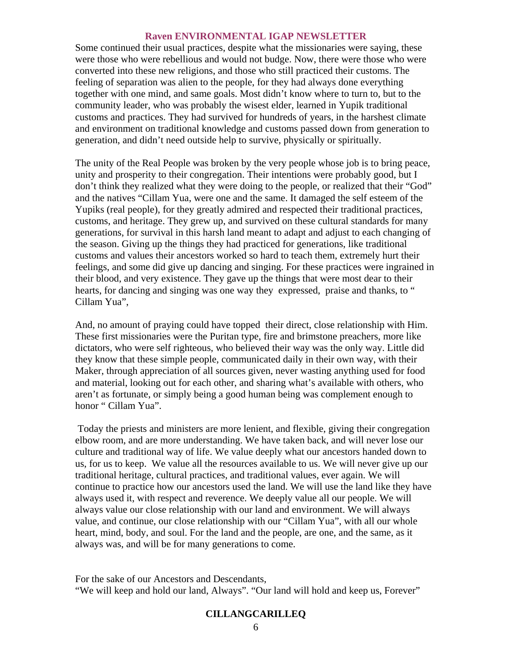Some continued their usual practices, despite what the missionaries were saying, these were those who were rebellious and would not budge. Now, there were those who were converted into these new religions, and those who still practiced their customs. The feeling of separation was alien to the people, for they had always done everything together with one mind, and same goals. Most didn't know where to turn to, but to the community leader, who was probably the wisest elder, learned in Yupik traditional customs and practices. They had survived for hundreds of years, in the harshest climate and environment on traditional knowledge and customs passed down from generation to generation, and didn't need outside help to survive, physically or spiritually.

The unity of the Real People was broken by the very people whose job is to bring peace, unity and prosperity to their congregation. Their intentions were probably good, but I don't think they realized what they were doing to the people, or realized that their "God" and the natives "Cillam Yua, were one and the same. It damaged the self esteem of the Yupiks (real people), for they greatly admired and respected their traditional practices, customs, and heritage. They grew up, and survived on these cultural standards for many generations, for survival in this harsh land meant to adapt and adjust to each changing of the season. Giving up the things they had practiced for generations, like traditional customs and values their ancestors worked so hard to teach them, extremely hurt their feelings, and some did give up dancing and singing. For these practices were ingrained in their blood, and very existence. They gave up the things that were most dear to their hearts, for dancing and singing was one way they expressed, praise and thanks, to " Cillam Yua",

And, no amount of praying could have topped their direct, close relationship with Him. These first missionaries were the Puritan type, fire and brimstone preachers, more like dictators, who were self righteous, who believed their way was the only way. Little did they know that these simple people, communicated daily in their own way, with their Maker, through appreciation of all sources given, never wasting anything used for food and material, looking out for each other, and sharing what's available with others, who aren't as fortunate, or simply being a good human being was complement enough to honor " Cillam Yua".

 Today the priests and ministers are more lenient, and flexible, giving their congregation elbow room, and are more understanding. We have taken back, and will never lose our culture and traditional way of life. We value deeply what our ancestors handed down to us, for us to keep. We value all the resources available to us. We will never give up our traditional heritage, cultural practices, and traditional values, ever again. We will continue to practice how our ancestors used the land. We will use the land like they have always used it, with respect and reverence. We deeply value all our people. We will always value our close relationship with our land and environment. We will always value, and continue, our close relationship with our "Cillam Yua", with all our whole heart, mind, body, and soul. For the land and the people, are one, and the same, as it always was, and will be for many generations to come.

For the sake of our Ancestors and Descendants, "We will keep and hold our land, Always". "Our land will hold and keep us, Forever"

# **CILLANGCARILLEQ**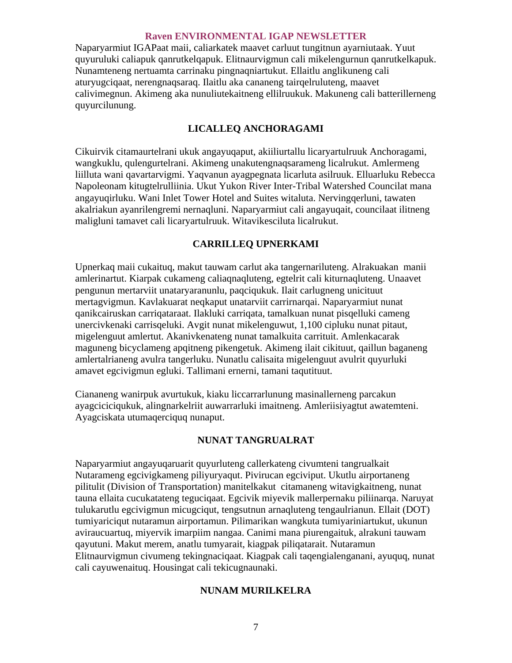Naparyarmiut IGAPaat maii, caliarkatek maavet carluut tungitnun ayarniutaak. Yuut quyuruluki caliapuk qanrutkelqapuk. Elitnaurvigmun cali mikelengurnun qanrutkelkapuk. Nunamteneng nertuamta carrinaku pingnaqniartukut. Ellaitlu anglikuneng cali aturyugciqaat, nerengnaqsaraq. Ilaitlu aka cananeng tairqelruluteng, maavet calivimegnun. Akimeng aka nunuliutekaitneng ellilruukuk. Makuneng cali batterillerneng quyurcilunung.

# **LICALLEQ ANCHORAGAMI**

Cikuirvik citamaurtelrani ukuk angayuqaput, akiiliurtallu licaryartulruuk Anchoragami, wangkuklu, qulengurtelrani. Akimeng unakutengnaqsarameng licalrukut. Amlermeng liilluta wani qavartarvigmi. Yaqvanun ayagpegnata licarluta asilruuk. Elluarluku Rebecca Napoleonam kitugtelrulliinia. Ukut Yukon River Inter-Tribal Watershed Councilat mana angayuqirluku. Wani Inlet Tower Hotel and Suites witaluta. Nervingqerluni, tawaten akalriakun ayanrilengremi nernaqluni. Naparyarmiut cali angayuqait, councilaat ilitneng maligluni tamavet cali licaryartulruuk. Witavikesciluta licalrukut.

# **CARRILLEQ UPNERKAMI**

Upnerkaq maii cukaituq, makut tauwam carlut aka tangernariluteng. Alrakuakan manii amlerinartut. Kiarpak cukameng caliaqnaqluteng, egtelrit cali kiturnaqluteng. Unaavet pengunun mertarviit unataryaranunlu, paqciqukuk. Ilait carlugneng unicituut mertagvigmun. Kavlakuarat neqkaput unatarviit carrirnarqai. Naparyarmiut nunat qanikcairuskan carriqataraat. Ilakluki carriqata, tamalkuan nunat pisqelluki cameng unercivkenaki carrisqeluki. Avgit nunat mikelenguwut, 1,100 cipluku nunat pitaut, migelenguut amlertut. Akanivkenateng nunat tamalkuita carrituit. Amlenkacarak maguneng bicyclameng apqitneng pikengetuk. Akimeng ilait cikituut, qaillun baganeng amlertalrianeng avulra tangerluku. Nunatlu calisaita migelenguut avulrit quyurluki amavet egcivigmun egluki. Tallimani ernerni, tamani taqutituut.

Ciananeng wanirpuk avurtukuk, kiaku liccarrarlunung masinallerneng parcakun ayagciciciqukuk, alingnarkelriit auwarrarluki imaitneng. Amleriisiyagtut awatemteni. Ayagciskata utumaqerciquq nunaput.

# **NUNAT TANGRUALRAT**

Naparyarmiut angayuqaruarit quyurluteng callerkateng civumteni tangrualkait Nutarameng egcivigkameng piliyuryaqut. Pivirucan egciviput. Ukutlu airportaneng pilitulit (Division of Transportation) manitelkakut citamaneng witavigkaitneng, nunat tauna ellaita cucukatateng teguciqaat. Egcivik miyevik mallerpernaku piliinarqa. Naruyat tulukarutlu egcivigmun micugciqut, tengsutnun arnaqluteng tengaulrianun. Ellait (DOT) tumiyariciqut nutaramun airportamun. Pilimarikan wangkuta tumiyariniartukut, ukunun aviraucuartuq, miyervik imarpiim nangaa. Canimi mana piurengaituk, alrakuni tauwam qayutuni. Makut merem, anatlu tumyarait, kiagpak piliqatarait. Nutaramun Elitnaurvigmun civumeng tekingnaciqaat. Kiagpak cali taqengialenganani, ayuquq, nunat cali cayuwenaituq. Housingat cali tekicugnaunaki.

# **NUNAM MURILKELRA**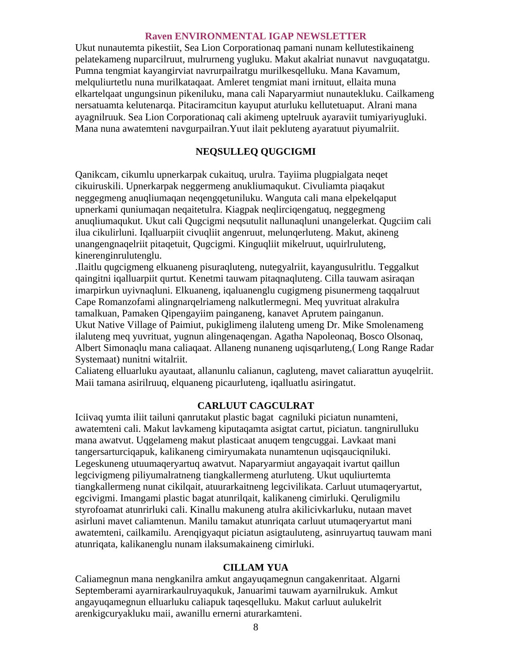Ukut nunautemta pikestiit, Sea Lion Corporationaq pamani nunam kellutestikaineng pelatekameng nuparcilruut, mulrurneng yugluku. Makut akalriat nunavut navguqatatgu. Pumna tengmiat kayangirviat navrurpailratgu murilkesqelluku. Mana Kavamum, melquliurtetlu nuna murilkataqaat. Amleret tengmiat mani irnituut, ellaita muna elkartelqaat ungungsinun pikeniluku, mana cali Naparyarmiut nunautekluku. Cailkameng nersatuamta kelutenarqa. Pitaciramcitun kayuput aturluku kellutetuaput. Alrani mana ayagnilruuk. Sea Lion Corporationaq cali akimeng uptelruuk ayaraviit tumiyariyugluki. Mana nuna awatemteni navgurpailran.Yuut ilait pekluteng ayaratuut piyumalriit.

# **NEQSULLEQ QUGCIGMI**

Qanikcam, cikumlu upnerkarpak cukaituq, urulra. Tayiima plugpialgata neqet cikuiruskili. Upnerkarpak neggermeng anukliumaqukut. Civuliamta piaqakut neggegmeng anuqliumaqan neqengqetuniluku. Wanguta cali mana elpekelqaput upnerkami quniumaqan neqaitetulra. Kiagpak neqlirciqengatuq, neggegmeng anuqliumaqukut. Ukut cali Qugcigmi neqsutulit nallunaqluni unangelerkat. Qugciim cali ilua cikulirluni. Iqalluarpiit civuqliit angenruut, melunqerluteng. Makut, akineng unangengnaqelriit pitaqetuit, Qugcigmi. Kinguqliit mikelruut, uquirlruluteng, kinerenginrulutenglu.

.Ilaitlu qugcigmeng elkuaneng pisuraqluteng, nutegyalriit, kayangusulritlu. Teggalkut qaingitni iqalluarpiit qurtut. Kenetmi tauwam pitaqnaqluteng. Cilla tauwam asiraqan imarpirkun uyivnaqluni. Elkuaneng, iqaluanenglu cugigmeng pisunermeng taqqalruut Cape Romanzofami alingnarqelriameng nalkutlermegni. Meq yuvrituat alrakulra tamalkuan, Pamaken Qipengayiim painganeng, kanavet Aprutem painganun.

Ukut Native Village of Paimiut, pukiglimeng ilaluteng umeng Dr. Mike Smolenameng ilaluteng meq yuvrituat, yugnun alingenaqengan. Agatha Napoleonaq, Bosco Olsonaq, Albert Simonaqlu mana caliaqaat. Allaneng nunaneng uqisqarluteng,( Long Range Radar Systemaat) nunitni witalriit.

Caliateng elluarluku ayautaat, allanunlu calianun, cagluteng, mavet caliarattun ayuqelriit. Maii tamana asirilruuq, elquaneng picaurluteng, iqalluatlu asiringatut.

# **CARLUUT CAGCULRAT**

Iciivaq yumta iliit tailuni qanrutakut plastic bagat cagniluki piciatun nunamteni, awatemteni cali. Makut lavkameng kiputaqamta asigtat cartut, piciatun. tangnirulluku mana awatvut. Uqgelameng makut plasticaat anuqem tengcuggai. Lavkaat mani tangersarturciqapuk, kalikaneng cimiryumakata nunamtenun uqisqauciqniluki. Legeskuneng utuumaqeryartuq awatvut. Naparyarmiut angayaqait ivartut qaillun legcivigmeng piliyumalratneng tiangkallermeng aturluteng. Ukut uquliurtemta tiangkallermeng nunat cikilqait, atuurarkaitneng legcivilikata. Carluut utumaqeryartut, egcivigmi. Imangami plastic bagat atunrilqait, kalikaneng cimirluki. Qeruligmilu styrofoamat atunrirluki cali. Kinallu makuneng atulra akilicivkarluku, nutaan mavet asirluni mavet caliamtenun. Manilu tamakut atunriqata carluut utumaqeryartut mani awatemteni, cailkamilu. Arenqigyaqut piciatun asigtauluteng, asinruyartuq tauwam mani atunriqata, kalikanenglu nunam ilaksumakaineng cimirluki.

#### **CILLAM YUA**

Caliamegnun mana nengkanilra amkut angayuqamegnun cangakenritaat. Algarni Septemberami ayarnirarkaulruyaqukuk, Januarimi tauwam ayarnilrukuk. Amkut angayuqamegnun elluarluku caliapuk taqesqelluku. Makut carluut aulukelrit arenkigcuryakluku maii, awanillu ernerni aturarkamteni.

8